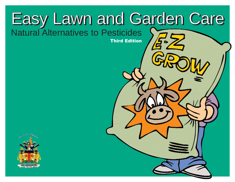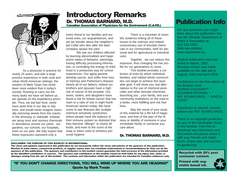

As a physician in practice for nearly 25 years, and with a large practice experience in both rural and urban North American settings, the wisdom of Mark Twain has never been more evident that in today's society. Rushing to carry out the many tasks we have set before us, we operate on the expediency principle. Thus, we eat fast food, rarely have quiet time in our day to day lives, and would never imagine manually removing weeds from the cracks in the driveway or sidewalk. Instead, we spray toxic and noxious chemicals in abundance around our yards , our gardens, our schools, our hospitals, even on our pets. We fully expect that these exposures represent only a

### Introductory Remarks Dr. THOMAS BARNARD, M.D.

Canadian Association of Physicians for the Environment (C.A.P.E.)

minor threat to our families and our loved ones, our acquaintances, and yet we wonder about the neighbor's pet Collie who dies after the lawn company sprays the yard.

We see our children affected by learning abnormalities and hyperactive states of behavior, seemingly having difficulty processing information, or controlling the energy of childhood in a productive way for school experiences. Our aging parents develop cancer, and suffer from loss of memory and Parkinson's disease. Nearly all of our fathers, indeed our brothers and spouses have a high risk of cancer of the prostate. Our wives, sisters, and daughters have faced a risk for breast cancer that has risen to a ratio of one in eight North American women today. We have come to see illnesses like multiple chemical sensitivity syndromes, where people have the balance of their immune system so distorted that they become "allergic" to nearly all foods, and even to the scent of the soap or lotion used to enhance personal hygiene

There is a mountain of scientific evidence linking all of these issues to the overuse and indeed unnecessary use of biocidal chemicals in our communities, both for personal and for agricultural or industrial uses.

Together , we can reduce this exposure, thus changing the risk profile for our generations to come.

This booklet provides a collection of tools by which individual families, and indeed whole communities can begin to achieve this laudable goal. It will show you real alternatives to the use of chemical pesticides and other biocidal chemicals, launching you , your family, and your community institutions on the road to a better, more fulfilling and risk free lives.

May the result of your study of this material be a life full of happiness, and free of the pain of the illness or debility of someone in your immediate family or someone you care about.

### Dr. THOMAS BARNARD, M.D.

### Publication Info

For any questions you might have about this publication contact the Windsor Department of Parks & Recreation at 519 253-2300. Web site address: www.citywindsor.ca

Original publication was published in March, 2001. Revised version was made available on the web site in August, 2004 and April 2006.

Contributors to the first edition of the Booklet were - DENNIS COLASANTI \* SUSANNA IATONNA \* PAT SCHINCARIOL \* KRISTA **TOVEY** 

Contributor to second, revised edition was PAT SCHINCARIOL.

There is no copyright protection on any of the information found in this booklet. Feel free to download any information you find useful and please share it with your friends and neighbours. Enjoy safe and successful gardening!

Recycled with 20% post consumer content.

Printed with vegetable based ink.



DISCLAIMER: THE PURPOSE OF THIS BOOKLET IS INFORMATIONAL.

The views and opinions expressed in this publication do not necessarily reflect the views and policies of the sponsors of this publication. Mention of trade names, commercial products, or supplier names does not constitute endorsement or recommendations for their use by the sponsors of this publication. The sponsors and contributors to this booklet cannot guarantee the total accuracy of the information provided by the identified contributors or sources. The sponsors and contributors to this booklet cannot be held liable for any injury, loss, claim, or damages arising from the use of this booklet. The contents and information within this publication are intended for Canadian audiences only.

"IF YOU DON'T CHANGE DIRECTIONS, YOU WILL WIND UP WHERE YOU ARE HEADING!" Quote by Mark Twain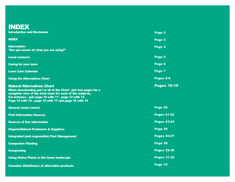### INDEX

| <b>Introduction and Disclaimer</b>                                                                                                                                                                                                                                                    | Page 2             |
|---------------------------------------------------------------------------------------------------------------------------------------------------------------------------------------------------------------------------------------------------------------------------------------|--------------------|
| <b>INDEX</b>                                                                                                                                                                                                                                                                          | Page 3             |
| <b>Information -</b><br>"Are you aware of what you are using?"                                                                                                                                                                                                                        | Page 4             |
| <b>Local contacts</b>                                                                                                                                                                                                                                                                 | Page 5             |
| <b>Caring for your lawn</b>                                                                                                                                                                                                                                                           | Page 6             |
| <b>Lawn Care Calendar</b>                                                                                                                                                                                                                                                             | Page 7             |
| <b>Using the Alternatives Chart</b>                                                                                                                                                                                                                                                   | Pages 8-9          |
| <b>Natural Alternatives Chart</b><br>When downloading part or all of the Chart - join two pages for a<br>complete view of the total chart for each of the subjects.<br>For instance - pair page 10 with 11 - page 12 with 13<br>Page 14 with 15 - page 16 with 17 and page 18 with 19 | <b>Pages 10-19</b> |
| <b>General weed control</b>                                                                                                                                                                                                                                                           | Page 20            |
| <b>Print Information Sources</b>                                                                                                                                                                                                                                                      | <b>Pages 21-22</b> |
| <b>Sources of free information</b>                                                                                                                                                                                                                                                    | <b>Pages 23-24</b> |
| <b>Organic/Natural Producers &amp; Suppliers</b>                                                                                                                                                                                                                                      | Page 25            |
| <b>Integrated (and responsible) Pest Management</b>                                                                                                                                                                                                                                   | <b>Pages 26-27</b> |
| <b>Companion Planting</b>                                                                                                                                                                                                                                                             | Page 28            |
| <b>Composting</b>                                                                                                                                                                                                                                                                     | <b>Pages 29-30</b> |
| <b>Using Native Plants in the home landscape</b>                                                                                                                                                                                                                                      | <b>Pages 31-32</b> |
| <b>Canadian Distributors of alternative products</b>                                                                                                                                                                                                                                  | Page 33            |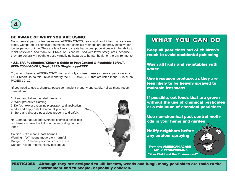

### BE AWARE OF WHAT YOU ARE USING:

Non-chemical pest control, as natural ALTERNATIVES, really work and it has many advantages. Compared to chemical treatments, non-chemical methods are generally effective for longer periods of time. They are less likely to create hardy pest populations with the ability to resist pesticides. And many ALTERNATIVES can be used with fewer safeguards, because they are generally thought to pose virtually no hazards to human health or the environment.\*

#### \*U.S.-EPA Publication,"Citizen's Guide to Pest Control & Pesticide Safety", #EPA 730-K-95-001, Sept., 1995- Single copy-FREE

Try a non-chemical ALTERNATIVE, first, and only choose to use a chemical pesticide as a LAST resort. To do this - review and try the ALTERNATIVES that are listed in the CHART on PAGES 10 -19.

\*If you need to use a chemical pesticide handle it properly and safely. Follow these recommendations:

- 1. Read and follow the label directions.
- 2. Wear protective clothing.
- 3. Don't smoke or eat during preparation and application.
- 4. Mix and apply only the amount you need.
- 5. Store and dispose pesticides properly and safely.

\*In Canada, natural and synthetic chemical pesticides or chemicals have the following letter coding on their label:

Caution - "C" means least harmful Warning - "W" means moderately harmful Danger - "D" means poisonous or corrosive Danger-Poison- means highly poisonous



### WHAT YOU CAN DO

Keep all pesticides out of children's reach to avoid accidental poisoning

Wash all fruits and vegetables with water

Use in-season produce, as they are less likely to be heavily sprayed to maintain freshness

If possible, eat foods that are grown without the use of chemical pesticides or a minimum of chemical pesticides

Use non-chemical pest control methods in your home and garden

Notify neighbors before any outdoor spraying

From the AMERICAN ACADE-MY of PEDIATRICIANS, "Your Child and the Environment"

PESTICIDES - Although they are designed to kill insects, weeds and fungi, many pesticides are toxic to the environment and to people, especially children.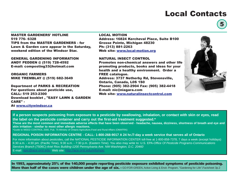## Local Contacts

MASTER GARDENERS' HOTLINE 519 776- 6328 TIPS from the MASTER GARDENERS - for Lawn & Garden care appear in the Saturday, weekend edition of the Windsor Star.

GENERAL GARDENING INFORMATION ANDY PEDDEN @ (519) 728-4592 E-mail: composting33@hotmail.com

ORGANIC FARMERS MIKE TREMBLAY @ (519) 682-3649

Department of PARKS & RECREATION For questions about pesticide use, CALL: 519 253-2300 Download booklet , "EASY LAWN & GARDEN CARE" -

At www.citywindsor.ca

#### LOCAL MOTION

Address: 16824 Kercheval Place, Suite B100 Grosse Pointe, Michigan 48230 Ph: (313) 881-2263 Web site: www.local-motion.org

#### NATURAL INSECT CONTROL

Promotes non-chemical answers and other life promoting products, books and ideas for your health and a healthy environment. Order a FREE catalogue. Address: 3737 Netherby Rd, Stevensville, Ontario, Canada, L0S 1S0 Phone: (905) 382-2904 Fax: (905) 382-4418 E-mail: nic@niagara.com Web site: www.naturalinsectcontrol.com



5

**If a person suspects poisoning from exposure to a pesticide by swallowing, inhalation, or contact with skin or eyes, read the label on the pesticide container and carry out the first-aid treatment suggested.\***

**These are the most common and immediate adverse effects that have been observed - headache, nausea, dizziness, shortness of breath and eye and skin irritation - similar to most other allergic reactions.**

\*Guide to WEED CONTROL 2000, Pub. 75-Ministry of Ontario Agriculture,Food and Rural Affairs (OMAFRA)

#### **REGIONAL POISON INFORMATION CENTRE - CALL: 1-800-268-9017 A 24 hr./7-day a week service that serves all of Ontario**

For more information about pesticides, call the NATIONAL PESTICIDE INFORMATION CENTER toll-free at 1-800-858-7378, 7 days a week (except holidays) 6:30 a.m. - 4:30 pm. (Pacific Time), 9:30 a.m. - 7:30 p.m. (Eastern Time). You also may write to: U.S. EPA-Office Of Pesticide Programs-Communications Services Branch (7506C)-Ariel Rios Building-1200 Pennsylvania Ave. NW-Washington, D.C. 20460 E-mail: npic@ace.orst.edu Web site: http://ace.orst.edu/info/npic

In 1993, approximately 25% of the 140,000 people reporting pesticide exposure exhibited symptoms of pesticide poisoning. More than half of the cases were children under the age of six. - GO-FOR-GREEN, Active Living & Envir. Program, "Gardening for Life", Factsheet 3p.2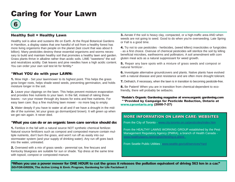## Caring for Your Lawn



### Healthy Soil = Healthy Lawn

Healthy soil is alive and sustains life on Earth. At the Royal Botanical Gardens in Hamilton, a display states that one handful of soil from a healthy forest has more living organisms than people on the planet (last count that was about 6 billion). Many pesticides destroy these essential organisms and worms necessary to build and maintain healthy soil that promotes a healthy lawn and garden. Grass plants thrive in alkaline rather than acidic soils. LIME "sweetens" the soil and neutralizes acidity. Oak leaves and pine needles have a high acidic content. You can order your own soil test kit for fertility.\*

#### \*What YOU do with your LAWN:

1. Mow High - Set your lawnmower to its highest point. This helps the grass grow longer roots, helps shade weed seeds, preventing germination, and holds moisture longer in the soil.

2. Leave your clippings on the lawn. This helps prevent moisture evaporation and provides free nutrients to your lawn. In the fall, instead of raking those leaves - run your mower through dry leaves for extra and free nutrients. For easy lawn care: Buy a fine mulching lawn mower - no more bag to empty.

**3.** Water deeply if you have to water at all and if we have a drought in the middle of the summer, let your grass go dormant(and brown). It will green up when we get rain again. It never died.

#### \*What you can do or an organic lawn care service should do:

1. Fertilize in the fall with a natural source NOT synthetic chemical fertilizer. Natural source fertilizers such as compost and composted manure contain multiple nutrients, don't burn the grass, and won't run off as easily into our stormwater system (and your supply of drinking water). Any run off goes back into the water, untreated.

2. Overseed with a mix of grass seeds - perennial rye, fine fescues and Kentucky bluegrass are suitable for sun or shade. Top dress at the same time with topsoil, compost or composted manure.

**3.** Aerate if the soil is heavy clay, compacted, or a high-traffic area AND when weeds are not going to seed. Good to do when you're overseeding. Late Spring or Fall is a good time.

4. Try not to use pesticides - herbicides, (weed killers) insecticides or fungicides - as a first choice. Overuse of chemical pesticides will sterilize the soil by killing beneficial microbes, earthworms and pollinators. A soil amendment with corn gluten meal acts as a natural suppressant for weed growth.

5. Repair any bare spots with a mixture of grass seeds and compost or natural fertilizer .

6. Investigate alternative groundcovers and plants. Native plants have evolved with a natural disease and pest resistance and are often more drought tolerant.

7. Dethatch, if necessary, when the lawn is in transition to becoming pesticide-free.

**8.** Be Patient! When you are in transition from chemical-dependent to ecofriendly, there will probably be setbacks.

\*Rodale's Organic Gardening magazine at www.organic gardening.com \*\*Provided by Campaign for Pesticide Reduction, Ontario at www.cprontario.org (2000-7-27)

#### MORE INFORMATION ON LAWN CARE: WEBSITES

From the City of Toronto - www.city.toronto.on.ca/pesticides/index.htm

From the HEALTHY LAWNS WORKING GROUP established by the Pest Management Regulatory Agency (PMRA), a branch of Health Canada www.healthylawns.net/english/html/hg-e.shtml

From Seattle Public Utilities -www.seattle.gov/util/services/Yard

"When you use a power mower for ONE HOUR to cut the grass it releases the pollution equivalent of driving 563 km in a car." GO-FOR-GREEN, The Active Living & Envir. Program, Gardening for Life Factsheet 2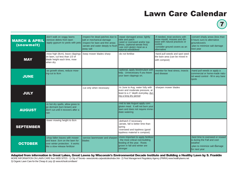## Lawn Care Calendar

7

| <b>MARCH &amp; APRIL</b><br>(snowmelt) | -don't walk on soggy lawns<br>-remove debris from lawn<br>-apply gypsum to yards with pets                                             | -inspect for dead patches due to<br>salt or mechanical damage<br>inspect for bare and thin areas<br>-aerate and water deeply to flush<br>away salt | repair damaged areas: lightly<br>rake and patch<br>-seed or overseed and/or top-<br>dress, (optional-aerate first)<br>use corn gluten meal as a<br>naturral weed&feed | -if needed, treat sections with<br>snow mould. mosses and dis-<br>ease with natural practices or<br>control<br>-consider ground covers as an<br>alternative | -convert shady areas (less than<br>4 hours sun) to alternative<br>laroundcovers<br>-plan to minimize salt damage<br>next year |
|----------------------------------------|----------------------------------------------------------------------------------------------------------------------------------------|----------------------------------------------------------------------------------------------------------------------------------------------------|-----------------------------------------------------------------------------------------------------------------------------------------------------------------------|-------------------------------------------------------------------------------------------------------------------------------------------------------------|-------------------------------------------------------------------------------------------------------------------------------|
| <b>MAY</b>                             | -mow high (8cm), leave clippings<br>on lawn, cut less than 1/3 of<br>blade height each time, mow<br>when dry                           | -keep mower blades sharp                                                                                                                           | -do not fertilise                                                                                                                                                     | -hand pull weeds and spot seed<br>the bare area (can be mixed in<br>with compost)                                                                           |                                                                                                                               |
| <b>JUNE</b>                            | -as growth slows, reduce mow-<br>ing-cut to 9cm                                                                                        |                                                                                                                                                    | -optional, apply biostimulant with<br>kelp. Unnecessary if you leave<br>your lawn clippings on.                                                                       | -monitor for heat stress, insects<br>and disease                                                                                                            | -hand pull weeds or apply a<br>commercial or home-made natu-<br>ral weed control - fill in any bare<br><b>Spots</b>           |
| <b>JULY</b>                            |                                                                                                                                        | -cut only when necessary                                                                                                                           | -In June to Aug. water fully with<br>even and moderate pressure, at<br>least to a 1" depth everyday, dur-<br>ing a long dry period                                    | -sharpen mower blades                                                                                                                                       |                                                                                                                               |
| <b>AUGUST</b>                          | -in hot dry spells, allow grass to<br>go dormant (turn brown) and<br>don't cut until it recovers after a<br>rain                       |                                                                                                                                                    | -mid to late August apply corn<br>gluten meal. It will not burn your<br>lawn and does not require imme-<br>diate watering                                             |                                                                                                                                                             |                                                                                                                               |
| <b>SEPTEMBER</b>                       | -lower mowing height to 8cm                                                                                                            |                                                                                                                                                    | -dethatch if necessary<br>-aerate, fall is better time than<br>spring<br>-overseed and topdress (good<br>topdress material is compost)                                |                                                                                                                                                             |                                                                                                                               |
| <b>OCTOBER</b>                         | -chop fallen leaves with mower<br>and leave .5cm on the lawn for<br>over winter protection. It works<br>like a slow release fertilizer | -service lawnmower and sharpen<br><b>Iblades</b>                                                                                                   | -more important to apply fertilizer<br>the most critical root-building<br>feeding of the year. Roots<br>grown in fall and winter are<br>stronger                      |                                                                                                                                                             | -best time to overseed or reseed<br>is during the Fall and cool<br>weather<br>-plan to minimize salt damage<br>for next year  |

Adapted from information in Great Lakes, Great Lawns by Wisconsin's Environmental Decade Institute and Building a Healthy Lawn by S. Franklin

MORE INFORMATION ON LAWN CARE from WEB SITES - 1) City of Toronto- www.toronto.ca/pesticides/index.htm 2) Pest Management Regulatory Agency (PMRA) www.healthylawns.net 3) Organic Lawn Care for the Cheap & Lazy @ www.richsoil.com/lawn/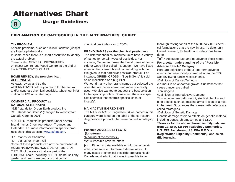8

Usage Guidelines

### EXPLANATION OF CATEGORIES IN THE ALTERNATIVES' CHART

#### **The PROBLEM**

Specific problems, such as "Yellow Jackets" (wasps) are listed alphabetically.

In some cases there is a short description to identify the actual problem.

There is also GENERAL INFORMATION on Insect Control and Weed Control at the end of the ALTERNATIVES' CHART.

#### **HOME REMEDY, the non-chemical ALTERNATIVE**

At least, review and try the

ALTERNATIVES before you reach for the natural and/or synthetic chemical pesticide. Check out information on IPM on a later page.

#### **COMMERCIAL PRODUCT as NATURAL ALTERNATIVE**

"G.E." stands for Green Earth product line "S" stands for Safer's\* (changed to Woodstream Canada Corp. in 2001)

**\*SAFER'S** markets its products under several brand names Chemfree, Attack, Trounce, and Defender. For more information on specific products check this website: www.safers.com.

#### "C" stands for Chemfree

"N" stands for ^Neem Oil

Some of these products can now be purchased at HOME HARDWARE, HOME DEPOT and CAN. TIRE. All of the stores that are part of the LOBLAWS chain, including ZEHR'S do not sell any garden and lawn care products that contain

chemical pesticides - as of 2003.

#### **BRAND NAMES (for the chemical pesticides)**

The different chemical manufacturers have a variety of names for certain types of pesticides. For instance, Monsanto makes the brand name of herbicide or weed killer called "Roundup". We have listed a few of the different brand names along with the title given to that particular pesticide product. For instance, GREEN CROSS - "Bug-B-Gone" is sold as an insecticide or a bug killer.

We found many other brand names but selected the ones that are better known and more commonly used. We also wanted to suggest the best solution to the specific problem. Sometimes, there is a specific chemical that controls specific kinds of insect(s).

#### **MAIN/ACTIVE INGREDIENTS**

The MAIN or ACTIVE ingredient(s) we named in this category were listed on the label of the corresponding pesticide products that were named in category D.

### **Possible ADVERSE EFFECTS**

**(long-term)**

\*Meaning of the symbols -

**"x"** = Possible adverse effect

**(-)** = Either no data available or information available is not sufficient to make a determination. In many cases of chemical pesticide products Health Canada must admit that it was impossible to do

thorough testing for all of the 6,000 to 7,000 chemical formulations that are now in use. To date, only limited research, for health and safety, has been done.

**"o"** = Adequate data and no adverse effect noted. **For a better understanding of the "Possible Adverse Effects" Category:**

Here are definitions of the 3 long-term adverse effects that were initially looked at when the EPA was reviewing earlier research data.

\*Definition of Cancer/Tumours

A tumour is an abnormal growth. Substances that cause cancer are called

carcinogens.

\*Definition of Reproductive Damage

This includes low birth weight, sterility/infertility and birth defects such as, missing arms or legs or a hole in the heart. Substances that cause birth defects are called teratogens.

\*Definition of Genetic Damage

Genetic damage refers to effects on genetic material including genes, chromosomes and DNA.

**\*Sources for the above chronic toxicity data are from Cal-EPA, SB-950 Toxicology Summaries, U.S. EPA Factsheets, U.S. EPA R.E.D.'s. (Registration Eligibility Documents), and scientific journals.**

\_\_\_\_\_\_\_\_\_\_\_\_\_\_\_\_\_\_\_\_\_\_\_\_\_\_\_\_\_\_\_\_\_\_\_\_\_\_\_\_\_\_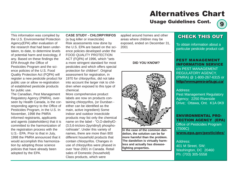### Usage Guidelines Cont.

9

This information was compiled by the U.S. Environmental Protection Agency(EPA) after evaluation of the research that had been undertaken, to date, to determine levels of potential harm and toxicology, if any. Based on these findings the EPA through the Office of Pesticides Program and the science policies of the U.S. Food Quality Protection Act (FQPA) will register a new pesticide product for public use or allow re-registration of established pesticide products for public use.

The Canadian, Pest Management Regulatory Agency (PMRA), overseen by Health Canada, is the corresponding agency to the Office of Pesticides Program, in the U.S. In November, 1998 the PMRA informed registrants, applicants and agents (stakeholders) that it is committed to the harmonization of the registration process with the U.S.- EPA. Prior to that in July, 1998 the PMRA announced that it would accomplish this harmonization by adopting those science policies that have already been adopted by the EPA.

**CASE STUDY - CHLORPYRIFOS** (a bug killer or insecticide) Risk assessments now done by the U.S. EPA are based on the science policies developed under the FOOD QUALITY PROTECTION ACT (FQPA) of 1996, which "sets a more stringent standard for most pesticides and which offers special protection for children". Original assessment for registration, in 1970 for chlorpyrifos, did not take into account the larger risk to children when exposed to this type of chemical.

More comprehensive product labels are now on products containing chlorpyrifos, (or Dursban either can be identified as the main, active ingredient) Some indoor and outdoor insecticide products may list only the chemical name on the label - "O,O-diethylO- (3,5,6-tricloro-2pyridinyl) phosphorothioate". Under this variety of names, there are more than 800 different household products that contain chlorpyrifos. Changes in use of chlorpyrifos were phased in over Year-2001 in Canada. Retail sales of Domestic (household) Class products, which were

applied around homes and other areas where children may be exposed, ended on December 31, 2001

\_\_\_\_\_\_\_\_\_\_\_\_\_\_\_\_\_\_\_\_\_\_\_\_\_\_\_\_

#### **DID YOU KNOW?**



**In the case of the common dandelion, the solution can be far more harmful than the problem. The dandelion is virtually harmless and actually has diseasefighting properties.**

### CHECK THIS OUT

To obtain information about a particular pesticide product call:

### PEST MANAGEMENT INFORMATION SERVICE c/o PEST MANAGEMENT REGULATORY AGENCY, (PMRA) @ 1-800-267-6315 or http://www.pmra-arla.gc.ca/

Address: Pest Management Regulatory Agency; 2250 Riverside Drive; Ottawa, Ont. K1A 0K9

### ENVIRONMENTAL PRO-TECTION AGENCY (EPA)

Office of Pesticides Program (7506C) www.epa.gov/pesticides/

Address: 401 M Street, SW; Washington, DC 20460 Ph: (703) 305-5558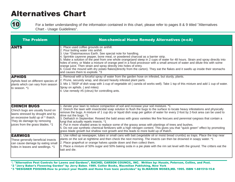

For a better understanding of the information contained in this chart, please refer to pages 8 & 9 titled "Alternatives Chart - Usage Guidelines".

| <b>The Problem</b>                                                                                                                                                                                        | <b>Non-chemical Home Remedy Alternatives (n-cA)</b>                                                                                                                                                                                                                                                                                                                                                                                                                                                                                                                                                                                                                                                                                                                                                                                                                                               |
|-----------------------------------------------------------------------------------------------------------------------------------------------------------------------------------------------------------|---------------------------------------------------------------------------------------------------------------------------------------------------------------------------------------------------------------------------------------------------------------------------------------------------------------------------------------------------------------------------------------------------------------------------------------------------------------------------------------------------------------------------------------------------------------------------------------------------------------------------------------------------------------------------------------------------------------------------------------------------------------------------------------------------------------------------------------------------------------------------------------------------|
| <b>ANTS</b>                                                                                                                                                                                               | 1. Place used coffee grounds on anthill.<br>2. Pour boiling water into anthill.<br>3. Use ^Diatomaceous Earth. See special note for handling.<br>4. Sprinkle cayenne pepper, bone meal, or powdered charcoal as a barrier strip.<br>5. Make a solution of the peel from one whole orange)and steep in 2 cups of water for 48 hours. Strain and spray directly into<br>holes of entry. or Make a mixture of orange peel in a food processor with a small amount of water and dilute this with some<br>orange juice. Then strain and spray directly into holes of entry.<br>6. Cover the mound with dry potato flakes (directly from the carton). They eat the flakes and it swells up inside their stomachs<br>and causes them to explode. *3                                                                                                                                                      |
| <b>APHIDS</b><br>Aphids feed on different species of<br>plants which can vary from season<br>to season. *1                                                                                                | 1. Removal with a forceful spray of water from the garden hose on infested, but sturdy, plants.<br>2. Prune, securely wrap, and discard heavily infested plant parts.<br>3. Mix 1 TBSP of dish soap with 1-cup of vegetable oil (canola oil works well). Take 1 tsp of this mixture and add 1 cup of water.<br>Spray on aphids. (and mites)<br>4. Use remedy #5 (citrus) for controlling ants.                                                                                                                                                                                                                                                                                                                                                                                                                                                                                                    |
| <b>CHINCH BUGS</b><br>Chinch bugs are usually found on<br>lawns stressed by drought and by<br>an excessive build up of $\wedge$ thatch.<br>They do damage by removing<br>juices from the grass blades. *1 | 1. Aerate your lawn to reduce compaction of soil and increase your soil moisture. *1<br>2. Drench the lawn with insecticidal soap solution to flush the bugs to the surface to locate heavy infestations and physically<br>remove the bugs. A mixture of 1 cup dry or liquid dish soap per gallon of water for every 2-foot by 2-foot area can be used to<br>drive out the bugs. *1<br>3. Dethatch in September. Reseed the bald areas with grass varieties like fine fescues and perennial ryegrass that contain a<br>fungi that actually repels insects. *1<br>4. Put in more shaded areas to replace some of the grassy areas with plantings of trees and bushes.<br>5. Do not use synthetic chemical fertilizers with a high nitrogen content. This gives you that "quick green" effect by promoting<br>grass blade growth but shallow root growth and this leads to more build up of thatch. |
| <b>EARWIGS</b><br>These generally beneficial insects<br>can cause damage by eating small<br>holes in leaves and seedlings. *1                                                                             | 1. Use rolled up newspaper, tubes or small cans with bait (vegetable oil or moist bread crumbs) as traps. Place the trap near<br>plants on the soil at nighttime and then check the next morning. The insects can then be drowned in soapy water. *1<br>2. Place grapefruit or orange halves upside down and then collect them.<br>3. Place a mixture of 50% sugar and 50% baking soda in a pie plate with the rim set level with the ground. The critters eat the<br>bait and die.                                                                                                                                                                                                                                                                                                                                                                                                               |

\*1 "Alternative Pest Controls for Lawns and Gardens", RACHEL CARSON COUNCIL, INC. Written by: Husain, Peterson, Collins, and Post.

\*2 "Jerry Baker's Flowering Garden" by Jerry Baker. 1989. Collier Books, Macmillan Publishing, New York

\*3 "DESIGNER POISONS-How to protect your Health and Home from toxic pesticides" by Dr.MARION MOSES,MD. 1995. ISBN 1-881510-15-8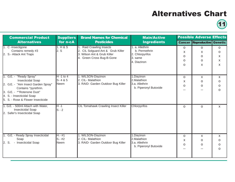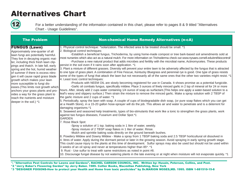

12 For a better understanding of the information contained in this chart, please refer to pages 8 & 9 titled "Alternatives Chart - Usage Guidelines".

| <b>The Problem</b>                                                                                                                                                                                                                                                                                                                                                                                                                                                                                                                                                                              | <b>Non-chemical Home Remedy Alternatives (n-cA)</b>                                                                                                                                                                                                                                                                                                                                                                                                                                                                                                                                                                                                                                                                                                                                                                                                                                                                                                                                                                                                                                                                                                                                                                                                                                                                                                                                                                                                                                                                                                                                                                                                                                                                                                                                                                                                                                                                                                                                                                                                                                                                                                                                                                                                                                                                                                                                                                                                                                                                                                                                                                                                                                                                                                                                                                                                                                                                                                                                                                                                                                                         |
|-------------------------------------------------------------------------------------------------------------------------------------------------------------------------------------------------------------------------------------------------------------------------------------------------------------------------------------------------------------------------------------------------------------------------------------------------------------------------------------------------------------------------------------------------------------------------------------------------|-------------------------------------------------------------------------------------------------------------------------------------------------------------------------------------------------------------------------------------------------------------------------------------------------------------------------------------------------------------------------------------------------------------------------------------------------------------------------------------------------------------------------------------------------------------------------------------------------------------------------------------------------------------------------------------------------------------------------------------------------------------------------------------------------------------------------------------------------------------------------------------------------------------------------------------------------------------------------------------------------------------------------------------------------------------------------------------------------------------------------------------------------------------------------------------------------------------------------------------------------------------------------------------------------------------------------------------------------------------------------------------------------------------------------------------------------------------------------------------------------------------------------------------------------------------------------------------------------------------------------------------------------------------------------------------------------------------------------------------------------------------------------------------------------------------------------------------------------------------------------------------------------------------------------------------------------------------------------------------------------------------------------------------------------------------------------------------------------------------------------------------------------------------------------------------------------------------------------------------------------------------------------------------------------------------------------------------------------------------------------------------------------------------------------------------------------------------------------------------------------------------------------------------------------------------------------------------------------------------------------------------------------------------------------------------------------------------------------------------------------------------------------------------------------------------------------------------------------------------------------------------------------------------------------------------------------------------------------------------------------------------------------------------------------------------------------------------------------------------|
| <b>FUNGUS (Lawn)</b><br>Approximately one-quarter of all<br>lawn fungi are potentially harmful.<br>They live in decaying organic mat-<br>ter, including thick fresh lawn clip-<br>pings and thatch. In late fall, early<br>spring and the hot, humid weather<br>of summer if there is excess nitro-<br>gen it will cause rapid grass blade<br>growth which makes your lawn<br>more susceptible to fungi dis-<br>eases.(This limits root growth which<br>anchors your grass plants and pro-<br>vides a way for the grass plant to<br>reach the nutrients and moisture<br>deeper in the soil.) *1 | 1. Physical control technique: ^solarization. The infected area to be treated should be small. *1<br>2. Biological control techniques:<br>-Establish a beneficial fungus, Trichoderma, by using home-made compost or tree bark-based soil amendments sold at<br>most nurseries which also act as a natural mulch. For more information on Trichoderma check out www.nysaes.cornell.edu/ent/biocontrol/<br>-Purchase a new natural product that adds microbes and fertility with the microbial name, Actinomycetes. These products<br>persist in the soil even if it rains soon after application. *1<br>3. Plant a mixture of different grasses. Diversity will prevent your entire lawn to be adversely affected by the fungus that is attracted<br>to one type of grass plant. A combination of Fine Fescue, Kentucky Bluegrass and perennial rye is good. One type of grass resists<br>some of the types of fungi that attack the lawn but not necessarily all of the same ones that the other two varieties might resist. *1<br>4. Least toxic control techniques:<br>-Products with NEEM OIL are slowly becoming registered for use in Canada. It shows promise as a potential fungicide.<br>-Garlic oil combats fungus, specifically mildew. Place 3 ounces of finely minced garlic in 2 tsp of mineral oil for 24 or more<br>hours. After, slowly add 2 cups water containing 1/4 ounce of soap as surfactant. (This helps one apply a water-based solution to a<br>leaf's waxy and slippery surface.) Then strain the mixture to remove the minced garlic. Make a spray solution with 2 TBSP of<br>the garlic mixture and 2 cups of water. *1<br>5. Periodically, spray the lawn with soap. A couple of cups of biodegradable dish soap, (or pure soap flakes which you can get<br>at a Health Store), in a 15-20 gallon hose-sprayer will do the job. This allows air and water to penetrate and is a deterrent for<br>damaging organisms.*1<br>6. Seaweed and seasoned kelp treatments, types of bio-stimulants that work like a tonic to strengthen the grass plants, work<br>against two fungus diseases, Fusarium and Dollar Spot.*1<br><b>GARDEN</b><br>7. Rose Black Spot:<br>-Spray a solution of 1 tsp. baking soda in 1 litre of water, weekly.<br>-Spray mixture of 2 TBSP soap flakes in 1 liter of water. Rinse.<br>-Mulch and sprinkle baking soda directly on the ground beneath bushes.<br>8. Powdery Mildew and Downy Mildew - Make a spray from 1 TBSP baking soda and 2.5 TBSP horticultural oil dissolved in<br>4. litres of water. Apply during the dormant period or later in the growing season. Avoid spraying in early spring growth stage.<br>This could cause injury to the plants at this time of development. Sulfur sprays may also be used but should not be used within<br>3 weeks of an oil spray and never at temperatures higher than 85*. *1<br>9. Rust - Use sulfur to treat with same restrictions as noted in point #8.<br>10. Discourage fungal disease by not watering plants in the late evening or at night when moisture will not evaporate quickly. *1 |

\*1 "Alternative Pest Controls for Lawns and Gardens", RACHEL CARSON COUNCIL, INC. Written by: Husain, Peterson, Collins, and Post.

\*2 "Jerry Baker's Flowering Garden" by Jerry Baker. 1989. Collier Books, Macmillan Publishing, New York

\*3 "DESIGNER POISONS-How to protect your Health and Home from toxic pesticides" by Dr.MARION MOSES,MD. 1995. ISBN 1-881510-15-8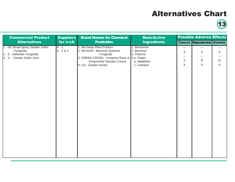| <b>Commercial Product</b>                                                                              | <b>Suppliers</b><br><b>Brand Names for Chemical</b> |                                                                                                                                                                         | <b>Main/Active</b>                                                                       |                            | <b>Possible Adverse Effects</b>      |                                              |
|--------------------------------------------------------------------------------------------------------|-----------------------------------------------------|-------------------------------------------------------------------------------------------------------------------------------------------------------------------------|------------------------------------------------------------------------------------------|----------------------------|--------------------------------------|----------------------------------------------|
| <b>Alternatives</b>                                                                                    | for n-cA                                            | <b>Pesticides</b>                                                                                                                                                       | <b>Ingredients</b>                                                                       |                            | <b>Cancer Reproductive Genetic</b>   |                                              |
| 1. GE Readi-Spray Garden Sulfur<br>Fungicide<br>2. S - Defender Fungicide<br>3. S - Garden Sulfur Dust | $H - 1$<br>$S - 2 & 3$                              | 1. No-Damp Plant Product<br>2. WILSON - Benomyl Systemic<br>Fungicide<br>3. GREEN CROSS - Funginex-Rose &<br><b>Ornamental Disease Control</b><br>4. CIL- Garden Doctor | 1. Benzoxine<br>2. Benomyl<br>3. Triforine<br>4.a. Folpet<br>b. Malathion<br>c. Carbaryl | --<br>X<br>$- -$<br>X<br>X | $- -$<br>X<br>--<br>$\mathsf O$<br>O | --<br>X<br>--<br>$\mathsf O$<br>$\mathsf{x}$ |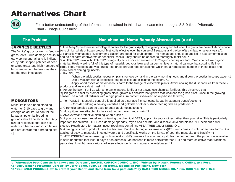

14 For a better understanding of the information contained in this chart, please refer to pages 8 & 9 titled "Alternatives Chart - Usage Guidelines".

| <b>The Problem</b>                                                                                                                                                                                                                                                                                              | <b>Non-chemical Home Remedy Alternatives (n-cA)</b>                                                                                                                                                                                                                                                                                                                                                                                                                                                                                                                                                                                                                                                                                                                                                                                                                                                                                                                                                                                                                                                                                                                                                                                                                                                                                                                                                            |
|-----------------------------------------------------------------------------------------------------------------------------------------------------------------------------------------------------------------------------------------------------------------------------------------------------------------|----------------------------------------------------------------------------------------------------------------------------------------------------------------------------------------------------------------------------------------------------------------------------------------------------------------------------------------------------------------------------------------------------------------------------------------------------------------------------------------------------------------------------------------------------------------------------------------------------------------------------------------------------------------------------------------------------------------------------------------------------------------------------------------------------------------------------------------------------------------------------------------------------------------------------------------------------------------------------------------------------------------------------------------------------------------------------------------------------------------------------------------------------------------------------------------------------------------------------------------------------------------------------------------------------------------------------------------------------------------------------------------------------------------|
| <b>JAPANESE BEETLES</b><br>The "white" grubs or worms feed or<br>grass roots. Grub damage occurs in<br>early spring and fall and is indicat-<br>ed by odd shaped patches of dead<br>or wilted grass and high numbers of<br>birds feeding on the lawn, as they<br>eat the grub infestation.                      | 1. Use Milky Spore Disease, a biological control for the grubs. Apply during early spring and fall when the grubs are present. Avoid condi-<br>tions of high winds or frozen ground. Method is effective over the course of 2 seasons and the benefits can last for several years.*1<br>2. Parasitic ^nematodes (Steinernema glaseri) are good for grub control. The nematodes should be applied in a spray formulation<br>and do not harm earthworms or beneficial insects. They should be applied to thoroughly moist soil. *1<br>3. A HEALTHY lawn with HEALTHY biologically active soil can sustain up to 20 grubs per square foot. Grubs do not like organic<br>material. Healthy soil is full of this type of material. Let your lawn and garden achieve a natural balance that sustains life like<br>birds, bees, microbes and yes, grubs! The grubs provide food for starlings which eat a remarkable number of these pests and<br>many others damaging insects.<br>4. For ADULTS:                                                                                                                                                                                                                                                                                                                                                                                                                     |
|                                                                                                                                                                                                                                                                                                                 | - When the adult beetles appear on plants remove by hand in the early morning hours and drown the beetles in soapy water. *1<br>-Use a vacuum with a disposable bag to collect and eliminate the critters. *1<br>-Apply wood ashes or diatomaceous earth to the foliage of vulnerable plants. Avoid inhaling the dust particles from these 2<br>products and wear a dust mask. *1<br>5. Aerate the lawn. Fertilize with an organic, natural fertilizer not a synthetic chemical fertilizer. This gives you that<br>'quick green" effect by promoting grass blade growth but shallow root growth that weakens the grass plant. Once in the growing<br>season use a natural fertilizer with a high potassium content (seaweed or kelp-based fertilizer)                                                                                                                                                                                                                                                                                                                                                                                                                                                                                                                                                                                                                                                          |
| <b>MOSQUITOES</b><br>Mosquito larvae need standing<br>water for 5-10 days to grow and<br>emerge as adults. To control the<br>larvae all potential breeding<br>grounds should be eliminated. Any<br>size of receptacle that can hold<br>water can harbour mosquito larvae<br>and are considered a breeding site. | 1. For PONDS - Mosquito control oils applied as a surface film suffocate larvae in stagnant ponds/pools. *1<br>-Consider adding a flowing waterfall and goldfish or other surface feeding fish as predators. *1<br>2. Citronella candles can be used to deter adult mosquitoes.*1<br>3. Mosquitoes are attracted to dark clothing and warm moist skin.*1<br>4. Always wear protective clothing when outside.<br>5. If you use an insect repellant containing the chemical DEET, apply it to your clothes rather than your skin. This is particularly<br>important for children. DEET can damage spandex, rayon and acetate, and dissolve vinyl and plastic. *1 Check out a well-<br>stocked Health store for natural insect repellants containing ^TEA TREE OIL or NEEM OIL.<br>6. A biological control product uses the bacteria, Bacillus thuringiensis israelensis(BTI), and comes in solid or aerosol forms. It is<br>applied directly to mosquito-infested waters and specifically works on the larvae of both the mosquito and blackfly. *1<br>7. METHOPRENE as an insect growth regulator (IGR) prevents the adult mosquito from emerging from the pupa. It is available<br>in solid briquettes that last 30 days or as aerosols. Methoprene is more persistent than BTI and more selective than traditional<br>pesticides. It might have various adverse effects on fish and aquatic invertebrates. *1 |

\*1 "Alternative Pest Controls for Lawns and Gardens", RACHEL CARSON COUNCIL, INC. Written by: Husain, Peterson, Collins, and Post.

- \*2 "Jerry Baker's Flowering Garden" by Jerry Baker. 1989. Collier Books, Macmillan Publishing, New York
- \*3 "DESIGNER POISONS-How to protect your Health and Home from toxic pesticides" by Dr.MARION MOSES,MD. 1995. ISBN 1-881510-15-8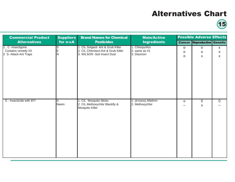| <b>Commercial Product</b><br><b>Suppliers</b>                    |                            | <b>Brand Names for Chemical</b>                                                                         | <b>Main/Active</b>                                | <b>Possible Adverse Effects</b>  |                                    |                        |
|------------------------------------------------------------------|----------------------------|---------------------------------------------------------------------------------------------------------|---------------------------------------------------|----------------------------------|------------------------------------|------------------------|
| <b>Alternatives</b>                                              | for n-cA                   | <b>Pesticides</b>                                                                                       | <b>Ingredients</b>                                |                                  | <b>Cancer Reproductive Genetic</b> |                        |
| 1. C -Insectigone<br>Contains remedy #3<br>2 S- Attack Ant Traps | $\sqrt{\frac{S}{E}}$<br>ΙN | 1. CIL Solgard- Ant & Grub Killer<br>2. CIL Chlorisect-Ant & Grub Killer<br>3. WILSON -Soil Insect Dust | 1. Chlorpyrifos<br>2. same as $#1$<br>3. Diazinon | $\mathsf O$<br>O<br>$\mathsf{o}$ | $\mathsf O$<br>$\mathsf O$<br>X    | X<br>X<br>$\mathsf{X}$ |
| S - Insecticide with BTI                                         | ls<br>Neem                 | 1. CIL Mosquito Sticks<br>2. CIL Methoxychlor Blackfly &<br>Mosquito Killer                             | 1. (d-trans) Allethrin<br>2. Methoxychlor         | $\mathsf{O}$<br>--               | $\overline{0}$<br>$\mathsf{X}$     | $\overline{0}$         |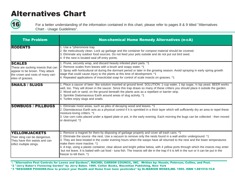

For a better understanding of the information contained in this chart, please refer to pages 8 & 9 titled "Alternatives Chart - Usage Guidelines".

| <b>The Problem</b>                                                                                                                               | <b>Non-chemical Home Remedy Alternatives (n-cA)</b>                                                                                                                                                                                                                                                                                                                                                                                                                                                                                                                                                                                                                                        |
|--------------------------------------------------------------------------------------------------------------------------------------------------|--------------------------------------------------------------------------------------------------------------------------------------------------------------------------------------------------------------------------------------------------------------------------------------------------------------------------------------------------------------------------------------------------------------------------------------------------------------------------------------------------------------------------------------------------------------------------------------------------------------------------------------------------------------------------------------------|
| <b>RODENTS</b>                                                                                                                                   | 1. Use a ^pheromone trap.<br>2. Be meticulously clean. Lock up garbage and the container for compost material should be covered.<br>3. Eliminate any outdoor food sources. Do not feed your pets outside and do not put out bird seed.<br>4. If the nest is located seal off entry points.                                                                                                                                                                                                                                                                                                                                                                                                 |
| <b>SCALES</b><br>These are sucking insects that can<br>appear to be brown. They attack<br>the crown and roots of many vari-<br>eties of grasses. | 1. Prune, securely wrap, and discard heavily infested plant parts. *1<br>2. Remove scales from leaves with a brush and soapy water. *1<br>3. Spray with horticultural oil during the dormant period or later in the growing season. Avoid spraying in early spring growth<br>stage that could cause injury to the plants at this time of development. *1<br>4. Repeated applications of insecticidal soap for control of scale insects on grasses. *1                                                                                                                                                                                                                                      |
| <b>SNAILS / SLUGS</b>                                                                                                                            | 1. Place a saucer of beer- like solution inserted at ground level. SOLUTION: 1-cup water, 1 tsp sugar, 1/4 tsp yeast. BEER works<br>well, too. They will drown in the saucer. Since this trap draws so many of these critters you should place it outside the garden.<br>2. Wood ash or sand, on the ground beneath the plants acts as a repellant or barrier strip.<br>3. Sprinkle Diatomaceous Earth around areas of slug activity. *1<br>4. Turtles enjoy slugs and snails.                                                                                                                                                                                                             |
| <b>SOWBUGS / PILLBUGS</b>                                                                                                                        | 1. Eliminate moist areas, such as piles of decaying wood and leaves. *1<br>2. Diamotaceous Earth acts as a physical control if it is sprinkled in a thick layer which will sufficiently dry an area to repel these<br>moisture-loving critters. *1<br>3. Use corn cobs placed under a tipped plate or pot, in the early evening. Each morning the bugs can be collected - then moved<br>or destroyed. *2                                                                                                                                                                                                                                                                                   |
| <b>YELLOWJACKETS</b><br>Their sting can be dangerous.<br>They have thin waists and can<br>inflict multiple stings.                               | 1. Remove a magnet for them by disposing of garbage properly and cover all trash cans. *1<br>2. Eliminate the source -the nest. Use a vacuum to remove only the nests found in a wall and/or underground. *1<br>3. They are best treated in the cooler evening hours when the wasps have all returned to the nest and the lower temperatures<br>Imake them more inactive. *1<br>4. A trap, using a plastic container, clear above and bright yellow below, with 4 yellow ports through which the insects may enter<br>but not leave. It is baited with cat food - tuna fish. The insects will die in the trap if it is left in the sun or it can be put in the<br>freezer to kill them. *1 |

\*1 "Alternative Pest Controls for Lawns and Gardens", RACHEL CARSON COUNCIL, INC. Written by: Husain, Peterson, Collins, and Post. \*2 "Jerry Baker's Flowering Garden" by Jerry Baker. 1989. Collier Books, Macmillan Publishing, New York

\*3 "DESIGNER POISONS-How to protect your Health and Home from toxic pesticides" by Dr.MARION MOSES,MD. 1995. ISBN 1-881510-15-8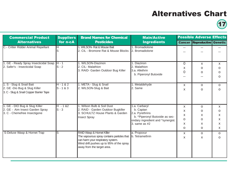17

| <b>Commercial Product</b>                                                                           | <b>Suppliers</b>                    | <b>Brand Names for Chemical</b>                                                                                                                                                         | <b>Main/Active</b>                                                                                                                      | <b>Possible Adverse Effects</b>       |                                                             |                                                   |
|-----------------------------------------------------------------------------------------------------|-------------------------------------|-----------------------------------------------------------------------------------------------------------------------------------------------------------------------------------------|-----------------------------------------------------------------------------------------------------------------------------------------|---------------------------------------|-------------------------------------------------------------|---------------------------------------------------|
| <b>Alternatives</b>                                                                                 | for n-cA                            | <b>Pesticides</b>                                                                                                                                                                       | <b>Ingredients</b>                                                                                                                      |                                       | <b>Cancer Reproductive Genetic</b>                          |                                                   |
| C.- Critter Ridder Animal Repellant                                                                 | Iн                                  | 1. WILSON- Rat & Mouse Bait<br>2. CIL - Bromone Rat & Mouse Blocks                                                                                                                      | 1. Bromadiolone<br>2. Bromadiolone                                                                                                      | $-$                                   |                                                             |                                                   |
| 1. GE - Ready Spray Insecticidal Soap H - 1<br>2. Safer's - Insecticidal Soap                       | $\mathsf{ls}\cdot 2$                | 1. WILSON-Diazinon<br>2. CIL- Malathion<br>3. RAID- Garden Outdoor Bug Killer                                                                                                           | 1. Diazinon<br>2. Malathion<br>3.a. Allethrin<br>b. Piperonyl Butoxide                                                                  | $\overline{0}$<br>X<br>$\overline{0}$ | X<br>O<br>o                                                 | X.<br>O<br>O<br>$\Omega$                          |
| 1. S - Slug & Snail Bait<br>2. GE -Dio Bug & Slug Killer<br>3. C - Slug & Snail Copper Barrier Tape | $H - 182$<br>$S - 1 & 8 & 3$        | 1. META - Slug & Snail<br>2. WILSON-Slug & Bait                                                                                                                                         | 1. Metaldehyde<br>2. Same                                                                                                               | X<br>X                                | $\Omega$<br>$\Omega$                                        | $\Omega$<br>$\Omega$                              |
| 1. GE - DIO Bug & Slug Killer<br>2. GE - Aim Insect Garden Spray<br>3. C - Chemefree Insectigone    | $H - 182$<br>$\mathsf{ls}\text{-}3$ | 1. Wilson Bulb & Soil Dust<br>2. RAID - Garden Outdoor Bugkiller<br>3. SCHULTZ House Plants & Garden<br><b>Insect Spray</b>                                                             | 1.a. Carbaryl<br>b. Captan<br>2.a. Pyrethrins<br>b. ^Piperonyl Butoxide as sec-<br>ondary ingredient and ^synergist.<br>3. same as $#2$ | X<br>X<br>X<br>O<br>X<br>O            | $\mathsf{O}$<br>O<br>X<br>$\mathsf{O}$<br>X<br>$\mathsf{O}$ | $\mathsf{x}$<br>0<br>X<br>$\mathsf{x}$<br>X<br>X. |
| S-Deluxe Wasp & Hornet Trap                                                                         | ls.                                 | RAID Wasp & Hornet Killer<br>The vapourous spray contains particles that<br>can harm your respiratory system.<br>Wind drift pushes up to 95% of the spray<br>away from the target area. | a. Propoxur<br>b. Tetramethrin                                                                                                          | X<br>X                                | $\mathsf{O}$<br>$\mathsf{x}$                                | 0<br>$\Omega$                                     |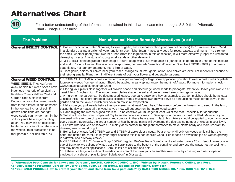

**18** For a better understanding of the information contained in this chart, please refer to pages 8 & 9 titled "Alternatives Chart - Usage Guidelines".

| <b>The Problem</b>                                                                                                                                                                                                                                                                                                                                                                                                                                                                                                                                                                       | <b>Non-chemical Home Remedy Alternatives (n-cA)</b>                                                                                                                                                                                                                                                                                                                                                                                                                                                                                                                                                                                                                                                                                                                                                                                                                                                                                                                                                                                                                                                                                                                                                                                                                                                                                                                                                                                                                                                                                                                                                                                                                                                                                                                                                                                                                                                                                                                                                                                                                                                                                                                                                                                                                                                                                                                                                                                                                                                                                                                                                                                                                                                                            |
|------------------------------------------------------------------------------------------------------------------------------------------------------------------------------------------------------------------------------------------------------------------------------------------------------------------------------------------------------------------------------------------------------------------------------------------------------------------------------------------------------------------------------------------------------------------------------------------|--------------------------------------------------------------------------------------------------------------------------------------------------------------------------------------------------------------------------------------------------------------------------------------------------------------------------------------------------------------------------------------------------------------------------------------------------------------------------------------------------------------------------------------------------------------------------------------------------------------------------------------------------------------------------------------------------------------------------------------------------------------------------------------------------------------------------------------------------------------------------------------------------------------------------------------------------------------------------------------------------------------------------------------------------------------------------------------------------------------------------------------------------------------------------------------------------------------------------------------------------------------------------------------------------------------------------------------------------------------------------------------------------------------------------------------------------------------------------------------------------------------------------------------------------------------------------------------------------------------------------------------------------------------------------------------------------------------------------------------------------------------------------------------------------------------------------------------------------------------------------------------------------------------------------------------------------------------------------------------------------------------------------------------------------------------------------------------------------------------------------------------------------------------------------------------------------------------------------------------------------------------------------------------------------------------------------------------------------------------------------------------------------------------------------------------------------------------------------------------------------------------------------------------------------------------------------------------------------------------------------------------------------------------------------------------------------------------------------------|
|                                                                                                                                                                                                                                                                                                                                                                                                                                                                                                                                                                                          | General INSECT CONTROL 1. Boil a concoction of water, 3 onions, 1 clove of garlic, and cayenne(or chop your own hot peppers) for 10 minutes. Cool. Grind<br>in a blender; put into a gallon of water and let sit over night. Strain. Particularly good for roses, azaleas and mums. The stronger<br>the smell, whether good(from flowers) or bad (from the ingredients in this concoction) it will more effectively repel the unwanted,<br>damaging insects. A mixture of strong smells adds another deterrent.<br>2. Mix 1 TBSP of biodegradable dish soap or "pure" soap with 1-cup vegetable oil.(canola oil is good) Take 1 tsp of this mixture<br>and add to 1-cup of water. This is a good all-purpose, home-made "insecticidal" soap or Dissolve 2 TBSP. (30ML) of ordinary<br>soap flakes, not laundry detergent, into 1 litre of water.<br>3. Plant garlic, onions or chives near your roses. Marigolds, mums, garlic, onion, and chives are excellent repellents because of<br>their strong smells. Plant them in different parts of both your flower and vegetable gardens.                                                                                                                                                                                                                                                                                                                                                                                                                                                                                                                                                                                                                                                                                                                                                                                                                                                                                                                                                                                                                                                                                                                                                                                                                                                                                                                                                                                                                                                                                                                                                                                                                                         |
| <b>General WEED CONTROL</b><br>WEED SEEDS: They can't run<br>away or hide but weed seeds have<br>ingenious methods of survival<br>Rodale's Chemical-Free Yard and<br>Garden cites a statistic from<br>England of six million weed seeds<br>from three different kinds of weeds<br>in the top few inches of soil. If<br>growth conditions are not right<br>weed seeds can lay dormant in the<br>soil for years before germinating<br>again. You may win an occasional<br>battle but you cannot win the war of<br>the weeds. Total eradication is nei-<br>ther possible, nor desirable. *3 | 1. ^CORN GLUTEN MEAL comes in the form of a yellow powder(for large scale application you should wear a dust mask) or pellets.<br>It prevents weeds from germinating. Should be applied in early spring and/or the month of August. For more information check -<br>www.hort.iastate.edu/gluten/cframe.html.<br>2. Placing your plants close together will provide shade and discourage weed seeds to propagate. When you leave your lawn cut at<br>least 2 1/2 to 3 inches high. The longer grass blades shade the soil and prevent weed seeds from germinating.<br>3. A mulch for the garden can be decomposed leaves, tree bark, straw, and hay as examples. Garden mulches should be at least<br>3 inches thick. The finely shredded grass clippings from a mulching lawn mower serve as a nourishing mulch for the lawn. In the<br>garden and on the lawn a mulch cuts down on moisture evaporation.<br>4. Make sure you pull weeds before they go to seed or at least "dead head" the weeds before the flowers go to seed. In the lawn,<br>cutting the flower heads off the weed as you mow will cut down on the future weed supply.<br>5. Hand digging the weeds is good exercise. To be effective you must get at least 2/3 of the root - especially for dandelions.<br>6. Soil should not become compacted. Try to aerate once every season. Bare spots in the lawn should be filled. Make sure you<br>overseed with a mixture of grass seeds and compost in these bare areas. In fact, this mixture should be applied to your lawn once<br>every season. Eventually, the larger number of healthy grass plants will overcome the decreasing number of weeds in your lawn.<br>7. Fertilize with sea kelp or seaweed. It mainly adds potassium and plant hormones to make plants hardy and more resistant to<br>disease, insects and drought.<br>8. Boil a liter of water. Add 2 TBSP salt and 5 TBSP of apple cider vinegar. Pour or spray directly on weeds while still hot, the<br>hotter the better. Be careful to hit your target because this is a non-specific weed killer. It does an awesome job on weeds growing<br>in sidewalk and driveway cracks.<br>9. CREEPING CHARLY: Dissolve 5 tsp BORAX (regular 20-Mule Team Borax) in a litre of water(covers 25 sq. feet of lawn) or one<br>cup of Borax to two gallons of water. Let the Borax settle to the bottom of the container and only use the water, not the sediment.<br>You may need several applications. Borax is toxic to children and pets.<br>10. If there is a large infestation of weeds in one area of the lawn you can smother weeds out by covering with newspaper or<br>cardboard or a sheet of plastic. (see "Solarization" in Glossary). |

\*1 "Alternative Pest Controls for Lawns and Gardens", RACHEL CARSON COUNCIL, INC. Written by: Husain, Peterson, Collins, and Post. \*2 "Jerry Baker's Flowering Garden" by Jerry Baker. 1989. Collier Books, Macmillan Publishing, New York

\*3 "DESIGNER POISONS-How to protect your Health and Home from toxic pesticides" by Dr.MARION MOSES,MD. 1995. ISBN 1-881510-15-8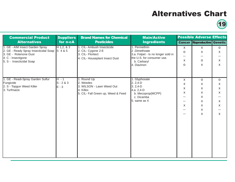19

| <b>Commercial Product</b><br><b>Alternatives</b>                                                                                                            | <b>Suppliers</b><br>for n-cA | <b>Brand Names for Chemical</b><br><b>Pesticides</b>                                                    | <b>Main/Active</b><br><b>Ingredients</b>                                                                                        |                                   | <b>Possible Adverse Effects</b>    |              |
|-------------------------------------------------------------------------------------------------------------------------------------------------------------|------------------------------|---------------------------------------------------------------------------------------------------------|---------------------------------------------------------------------------------------------------------------------------------|-----------------------------------|------------------------------------|--------------|
|                                                                                                                                                             |                              |                                                                                                         |                                                                                                                                 |                                   | <b>Cancer Reproductive Genetic</b> |              |
| 1. GE - AIM Insect Garden Spray<br>2. GE - Ready Spray Insecticidal Soap S 4 & 5<br>3. GE - Rotenone Dust<br>4. C - Insectigone<br>5. S - Insecticidal Soap | H1,2,83                      | 1. CIL- Ambush Insecticide<br>2. CIL- Cygone 2-E<br>3. CIL- Floritect<br>4. CIL- Houseplant Insect Dust | 1. Permethrin<br>2.Dimethoate<br>3.a. Folpet - Is no longer sold in<br>the U.S. for consumer use.<br>b. Carbaryl<br>4. Diazinon | X                                 | $\boldsymbol{X}$                   | $\Omega$     |
|                                                                                                                                                             |                              |                                                                                                         |                                                                                                                                 | $\mathsf{O}$                      | X                                  | X            |
|                                                                                                                                                             |                              |                                                                                                         |                                                                                                                                 | $\qquad \qquad -$<br>$\mathsf{x}$ | --<br>O                            | X            |
|                                                                                                                                                             |                              |                                                                                                         |                                                                                                                                 | $\Omega$                          | X                                  | X            |
|                                                                                                                                                             |                              |                                                                                                         |                                                                                                                                 |                                   |                                    |              |
| 1. GE - Readi-Spray Garden Sulfur                                                                                                                           | $H - 1$                      | 1. Round Up                                                                                             | 1. Glyphosate                                                                                                                   | X                                 | 0                                  | $\circ$      |
| Fungicide<br>2. S - Topgun Weed Killer<br>3. Turfmaize                                                                                                      | $S - 2 & 3$<br>$E - 3$       | 2. Weedex<br>3. WILSON - Lawn Weed Out<br>4. Killex<br>5. CIL- Fall Green up, Weed & Feed               | $2.2,4-D$<br>$3.2,4-D$<br>4.a. 2,4-D<br>b. Mecoprop(MCPP)<br>c. Dicamba<br>5. same as 4                                         | $\mathsf{X}$                      | X                                  | X            |
|                                                                                                                                                             |                              |                                                                                                         |                                                                                                                                 | $\pmb{\mathsf{X}}$                | $\pmb{\times}$                     | X            |
|                                                                                                                                                             |                              |                                                                                                         |                                                                                                                                 | $\mathsf{x}$                      | X                                  | X            |
|                                                                                                                                                             |                              |                                                                                                         |                                                                                                                                 | $\qquad \qquad -$                 | X                                  |              |
|                                                                                                                                                             |                              |                                                                                                         |                                                                                                                                 | $- -$                             | X                                  | X            |
|                                                                                                                                                             |                              |                                                                                                         |                                                                                                                                 | X                                 | X                                  | X            |
|                                                                                                                                                             |                              |                                                                                                         |                                                                                                                                 | $- -$                             | X                                  |              |
|                                                                                                                                                             |                              |                                                                                                         |                                                                                                                                 |                                   | X                                  | $\mathsf{x}$ |
|                                                                                                                                                             |                              |                                                                                                         |                                                                                                                                 |                                   |                                    |              |
|                                                                                                                                                             |                              |                                                                                                         |                                                                                                                                 |                                   |                                    |              |
|                                                                                                                                                             |                              |                                                                                                         |                                                                                                                                 |                                   |                                    |              |
|                                                                                                                                                             |                              |                                                                                                         |                                                                                                                                 |                                   |                                    |              |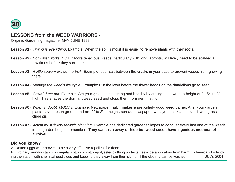

### **LESSONS from the WEED WARRIORS -**

Organic Gardening magazine, MAY/JUNE 1998

- **Lesson #1** Timing is everything. Example: When the soil is moist it is easier to remove plants with their roots.
- **Lesson #2** Hot water works. NOTE: More tenacious weeds, particularly with long taproots, will likely need to be scalded a few times before they surrender.
- Lesson #3 A little sodium will do the trick. Example: pour salt between the cracks in your patio to prevent weeds from growing there.
- Lesson #4 Manage the weed's life cycle. Example: Cut the lawn before the flower heads on the dandelions go to seed.
- Lesson #5 Crowd them out. Example: Get your grass plants strong and healthy by cutting the lawn to a height of 2-1/2" to 3" high. This shades the dormant weed seed and stops them from germinating.
- **Lesson #6** When in doubt, MULCH. Example: Newspaper mulch makes a particularly good weed barrier. After your garden plants have broken ground and are 2" to 3" in height, spread newspaper two layers thick and cover it with grass clippings.
- Lesson #7 Action must follow realistic planning. Example: the dedicated gardener hopes to conquer every last one of the weeds in the garden but just remember-**"They can't run away or hide but weed seeds have ingenious methods of survival. . ."**

### **Did you know?**

**A.** Rotten eggs were proven to be a very effective repellent for **deer**.

**B.** Ordinary laundry starch on regular cotton or cotton-polyester clothing protects pesticide applicators from harmful chemicals by binding the starch with chemical pesticides and keeping they away from their skin until the clothing can be washed. JULY, 2004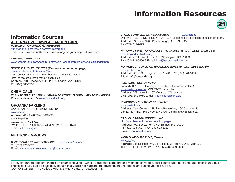### Information Resources



### Information Sources **ALTERNATIVE LAWN & GARDEN CARE FORUM on ORGANIC GARDENING**

http://forums2.gardenweb.com/forums/organic This forum is meant for the discussion of organic gardening and lawn care.

#### **ORGANIC LAND CARE**

www.organic-land-care.com/intro.htm/Gaia\_College/programs/land\_care/index.php

#### **SEATTLE PUBLIC UTILITIES (Resource conservation page)**

www.seattle.gov/util/Services/Yard OR Contact national lawn care hot line : 1-888-860-LAWN How to restore a lawn without chemicals. **Address:** 710 Second Ave., Suite 505; Seattle, WA 98104 Ph: (206) 684-7650

#### **CHEMICALS**

**PANUPS(Part of PESTICIDE ACTION NETWORK of NORTH AMERICA-PANNA) Pesticide database @** www.pesticideinfo.org

#### **ORGANIC FARMING**

CANADIAN ORGANIC GROWERS, Inc. www.cog.ca **Address:** (For NATIONAL OFFICE) 323 Chapel St. Ottawa, Ont. K1N 7Z2 Ph: TOLL FREE: 1-888-375-7383 or Ph: 613-216-0741 E-mail: office@cog.ca

#### **PESTICIDE GROUPS**

**CANADIANS AGAINST PESTICIDES** www.caps.20m.com Ph: (613) 225-3673 E-mail: canadiansagainstpesticides@hotmail.com

#### **GREEN COMMUNITIES ASSOCIATION** www.gca.ca

Offer the "PESTICIDE FREE NATURALLY" action kit as a pesticide reduction program. **Address:** P.O. BOX 928; Peterborough, Ont. K9J 7A5; Ph: (705) 745-7479

#### **NATIONAL COALITION AGAINST THE MISUSE of PESTICIDES (NCAMP) at** www.beyondpesticides.org

**Address:** 701 E Street SE #200; Washington, DC 20003 Ph: (202) 543-5450 & E-mail: info@beyondpesticides.org

#### **NORTHWEST COALITION for ALTERNATIVES to PESTICIDES (NCAP)**

www.pesticide.org **Address:** Box 1393; Eugene, OR 97440; Ph: (503) 344-5404 E-Mail: info@pesticide.org

#### **PESTICIDE FREE ONTARIO**

(formerly CPR-O! - Campaign for Pesticide Reduction in Ont.) www.pesticidefree.ca CONTACT: Janet May **Address:** 2781 Hwy 7, #207, Concord, ON L4K 1W1 Call: (905) 660-9782 E-mail: info@pesticidefree.ca

#### **RESPONSIBLE PEST MANAGEMENT**

www.pestinfo.ca **Address:** Can. Centre for Pollution Prevention; 100 Charlotte St.; Sarnia, N7T 4R2 Ph: 1-800-667-9790, E-mail: info@pestinfo.ca

#### **RACHEL CARSON COUNCIL, INC.**

http://members.aol.com/rccouncil/ourpage/ **Address:** P.O. Box 10779, Silver Springs, MD 20914 Ph: (301) 593-7507, FAX: 301-593-6251 E-mail: rccouncil@aol.com

#### **WORLD WILDLIFE FUND, Canada**

www.wwf.ca **Address:** 245 Eglinton Ave. E.; Suite 410; Toronto, Ont. M4P 3J1 TOLL FREE: 1-800-26-PANDA & Ph: (416) 489-8800

For every garden problem, there's an organic solution. While it's true that some organic methods of weed & pest control take more time and effort than a quick chemical fix you can be absolutely certain that you're not harming the environment and potentially putting yourself at risk. GO-FOR-GREEN, The Active Living & Envir. Program, Factsheet # 3.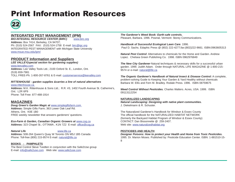## Print Information Resources



#### **INTEGRATED PEST MANAGEMENT (IPM)**

**BIO-INTEGRAL RESOURCE CENTER (BIRC)** www.birc.org **Address:** Box 7414; Berkeley, CA 94707; Ph: (510) 524-2567 FAX: (510) 524-1758 E-mail: birc@igc.org INTEGRATED PEST MANAGEMENT with Michigan State University www.msue.msu.edu/ipm/

#### **PRODUCT Information and Suppliers**

**LEE VALLEY(special section for gardening supplies)** www.leevalley.com **Address:** Lee Valley Tools Ltd.; 2100 Oxford St. E., London, Ont. (519) 659-7981 TOLL FREE-Ph: 1-800-267-8761 & E-mail: customerservice@leevalley.com

#### **RITTENHOUSE - garden supplies &carries a line of natural alternatives**

www.rittenhouse.ca **Address:** M.K. Rittenhouse & Sons Ltd.; R.R. #3, 1402 Fourth Avenue St. Catherine's, Ont. L2R 6P9 Phone: Toll Free: 877-488-1914

#### **MAGAZINES**

**Doug Green's Garden Magic at** www.simplegiftsfarm.com **Address:** Simple Gifts Farm; 363 Lower Oak Leaf Rd. Athens, Ont. K0E 1B0 FREE weekly newsletter that answers gardeners' questions.

**Eco-Farm & Garden, Canadian Organic Growers at** www.cog.ca **Address:** 323 Chapel St.; OTTAWA , K1N 7Z2 E-mail: office@cog.ca

**Natural Life** www.life.ca

**Address:** 508-264 Queen's Quay W Toronto ON M5J 1B5 Canada Phone: Toll-free (800) 215-9574 E-mail: natural@life.ca

#### **BOOKS - PAMPHLETS**

The Best Control Steve Tvedten in conjunction with the Safe2Use group E-mail: info@safe2use.com Web site: www.safe2use.com

**The Gardener's Weed Book: Earth-safe controls.** Pleasant, Barbara. 1996. Pownal, Vermont: Storey Communications.

**Handbook of Successful Ecological Lawn Care**. 1996. Paul D. Sachs. Edaphic Press @ (802) 222-4277;fax:(802)222-9661. ISBN:0963605313

**Natural Pest Control**: Alternatives to chemicals for the Home and Garden. Andrew Lopez. Chelsea Green Publishing Co. 1998. ISBN 0962976849

**The New City Gardener**-Natural techniques & necessary skills for a successful urban garden. 1999. Judith Adam. Order through NATURAL LIFE MAGAZINE @ 1-800-215- 9574 or e-mail: natural@life.ca

**The Organic Gardener's Handbook of Natural Insect & Disease Control:** A complete, problem-solving Guide to Keeping Your Garden & Yard Healthy without chemicals Barbara W. Ellis and Fern M. Bradley. Rodale Press. 1996. ISBN 08759675

**Weed Control Without Pesticides.** Charles Walters. Acres, USA. 1999. ISBN 09113112254

#### **NATURALIZED LANDSCAPING**

**Natural Landscaping: Designing with native plant communities.** J. Diekelmann & R. Schuster.

The Naturalized Gardener's Handbook for Windsor & Essex County The official handbook for the NATURALIZED HABITAT NETWORK (formerly the Backyard Habitat Program of Windsor & Essex County) CONTACT: Dan Bissonnette @ 259-2407. Web site: www.naturalizedhabitat.org

#### **PESTICIDES AND HEALTH**

**Designer Poisons: How to protect your Health and Home from Toxic Pesticides.** 1995. Dr. Marion Moses. Published by: Pesticide Education Center. ISBN: 1-881510-15- 8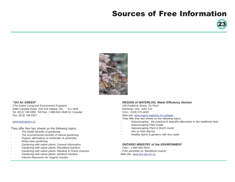## Sources of Free Information





#### · **"GO for GREEN"**

(The Active Living and Environment Program) 5480 Canotek Road, Unit #16 Ottawa, ON K1J 9H6 Tel: (613) 748-1800 Toll free: 1-888-822-2848 (in Canada) Fax: (613) 748-0357

#### www.goforgreen.ca

They offer free fact sheets on the following topics:

- The health benefits of gardening
- The environmental benefits of natural gardening
- Organic alternatives to herbicides & pesticides
- Water-wise gardening
- Gardening with native plants: General Information
- Gardening with native plants: Woodland Gardens
- Gardening with native plants: Meadow & Prairie Grasses
- Gardening with native plants: Wetland Gardens
- Internet Resources for Organic Garden

#### · **REGION of WATERLOO, Water Efficiency Section**

150 Frederick Street, 7th Floor Kitchener, Ont. N2G 4J3 CALL: (519) 575-4420 Web-site: www.region.waterloo.on.ca/water

They offer free fact sheets on the following topics:

- Naturescaping the practical & beautiful alternative to the traditional lawn
- **Naturescaping Plant Guide**
- Naturescaping Plant & Mulch Guide
- Info on Rain Barrels
- Healthy lawns & gardens with less water
- · **ONTARIO MINISTRY of the ENVIRONMEN**T
- CALL: 1-800-565-4923
- Free pamphlet on "Beneficial Insects"
- Web site: www.ene.gov.on.ca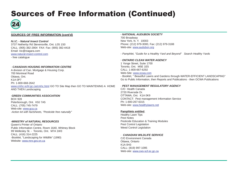## Sources of Free Information (Continued)



#### **SOURCES OF FREE INFORMATION (cont'd)**

#### **N.I.C. - Natural Insect Control**

3737 Netherby Rd Stevensville, Ont. L0S 1S0 CALL: (905) 382-2904 FAX: Fax: (905) 382-4418 Email: nic@niagara.com www.natural-insect-control.com - free catalogue

#### · **CANADIAN HOUSING INFORMATION CENTRE**

A division of Can. Mortgage & Housing Corp. 700 Montreal Road Ottawa, Ont. K1A 0P7 Ph: 1-800-668-2642 www.cmhc-schl.gc.ca/cmhc.html GO TO Site Map then GO TO MAINTENING A HOME AND THEN Landscaping

#### ·**GREEN COMMUNITIES ASSOCIATION**

BOX 928 Peterborough, Ont. K9J 7A5 CALL: (705) 745-7479 Web-site: www.gca.ca -Action kit with factsheets, "Pesticide free naturally"

#### **·MINISTRY of NATURAL RESOURCES**

Queen's Printer of Ontario Public Information Centre, Room 1640, Whitney Block 99 Wellesley St. - Toronto, Ont. M7A 1W3 CALL: (416) 314-2225 -Booklet, "Landscaping for Wildlife" (1990) Website: www.mnr.gov.on.ca

#### **· NATIONAL AUDUBON SOCIETY**

700 Broadway New York, N. Y. 10003 Phone: (212) 979-3000, Fax: (212) 979-3188 Web-site: www.audubon.org

- Pamphlet, "Guide for a Healthy Yard and Beyond" Search Healthy Yards

#### **· ONTARIO CLEAN WATER AGENCY**

1 Yonge Street, Suite 1700 Toronto, Ont. M5E 1E5 CALL: 1-800-667-6292 Web-Site: www.ocwa.com - Booklet, " Beautiful Lawns and Gardens through-WATER-EFFICIENT LANDSCAPING" Go to Public Information, then Reports and Publications - then OCWA Publications

#### · **PEST MANAGEMENT REGULATORY AGENCY**

C/O Health Canada 2720 Riverside Dr. OTTAWA, Ont. K1A 0K9 CONTACT: Pest management Information Service Ph: 1-800-267-6315 Web-site: www.healthylawns.net

#### **Pamphlets entitled**,

Healthy Lawn Tips Pest Notes Pesticide Education & Training Modules Pest Control Legislation Weed Control Legislation

#### · **CANADIAN WILDLIFE SERVICE**

C/O Environment Canada Ottawa, Ontario K1A 0H3 CALL: (819) 997-1095 Web-site: www.cws-scf.ec.gc.ca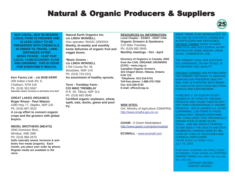## Natural & Organic Producers & Suppliers



**BUY LOCAL...BUY IN SEASON. LOCAL FOOD IS FRESHER AND IS LESS LIKELY TO BE PRESERVED WITH CHEMICALS IN ORDER TO TRAVEL LONG DISTANCES AFTER BEING PICKED. KEEP OUR LOCAL FARM ECONOMY ALIVE AND GROWING. THIS IS GOOD FOR EVERYONE'S HEALTH.**

**Kerr Farms Ltd. - c/o BOB KERR** 309 Indian Creek Rd. E. Chatham, N7M 5J6 Ph: (519) 352-5567 **Naturally raised, hormone & anti-biotic free beef**

**GREAT LAKES ORGANICS Roger Rivest - Paul Watson** 4280 Hwy 77, Staples, N0P 2J0 Ph: (519) 687-3522 **A co-op effort to connect organic crops and the growers with global buyers.**

#### **MEDEL BROTHERS (MEATS)**

2940 Dominion Blvd., Windsor, N9E 2M8 Ph: (519) 966-2670 **Sells naturally raised, hormone & antibiotic free meats (organic). Each month, you place your order by phone. Regular meats are available in the store.**

**Natural Earth Organics Inc. c/o LINDA WONSELL** Also operates \*BASIC GREENS **Weekly, bi-weekly and monthly home deliveries of organic fruit and veggie boxes.**

**\*Basic Greens c/o LINDA WONSELL** 1704 County Rd. 46 Woodslee, N0R 1V0 Ph: (519) 723-2311 **An assortment of healthy sprouts.**

**Terre - Tremblay Farm - C/O MIKE TREMBLAY** R.R. #6, Tilbury, N0P 2L0 Ph: (519) 682-3649 **Certified organic soybeans, wheat, spelt, oats, ducks, geese and poultry.**

**RESOURCES for INFORMATION: Local Chapter - ESSEX - KENT CAN. Organic Growers & Gardeners** C/O Mike Tremblay Ph: (519) 682-3649 **Monthly meetings - Oct - April**

**Directory of Organics in Canada, 2002 from the CAN. ORGANIC GROWERS (COG) - www.cog.ca Canadian Organic Growers 323 Chapel Street, Ottawa, Ontario K1N 7Z2 Telephone: 613-216-0741 Toll-free phone: 1-888-375-7383 Fax: 613-236-0743 E-mail: office@cog.ca**

#### **WEB SITES:**

Ont. Ministry of Agriculture (OMAFRA) http://www.omafra.gov.on.ca

**GAIAM -** A Green Marketplace http://www.gaiam.com/greenmarket/

**ECOMALL -** www.ecomall.com

SINCE THERE IS NO DEPENDENCE ON THE USE OF SYNTHETIC CHEMICALS IN FERTILIZERS AND PESTICIDES, ORGANIC FAMING GIVES US MANY PRACTICAL AND SUCCESSFUL ALTER-NATIVES FOR HOME AND/OR LARGE-SCALE, COMMERCIAL USE.

THE PRIMARY GOAL FOR SUCCESS-FUL GARDENING, ON ANY SCALE, IS TO ENHANCE SOIL QUALITY.

ORGANIC FARMING HAS ESTABLISHED THE PRIMARY METHODS TO IMPROVE, MAINTAIN AND PRESERVE HEALTHY SOIL THAT IS FORTIFIED WITH MINER-ALS AND ALIVE WITH GOOD BACTERIA, FUNGUS AND EARTHWORMS.

\*A RECENT U. OF GUELPH STUDY LOOKED AT 20 TYPES OF ORGANIC PRODUCE AND FOUND THEM NO BET-TER THAN CONVENTIONALLY GROWN PRODUCE - BUT A LARGER U.S. STUDY COMPARING 1,200 ITEMS BY FOOD CONSULTANT, VIRGINIA WORTHING-TON, CONCLUDED THAT ORGANICALLY GROWN FOOD IS MORE NUTRI-TIOUS....AND WE HAVEN'T STARTED TO ASK ABOUT THE HEALTH AND ENVI-RONMENTAL DAMAGE DONE BY MIL-LIONS OF TONS OF PESTICIDES AND CHEMICAL FERTILIZERS. \*Globe & mail by debbie field, july 19, 2002

A national standard has finally been determined. Foods grown on CERTIFIED ORGANIC FARMS can carry the following labeling -

- CERTIFIED ORGANIC -

- VERIFIED ORGANIC -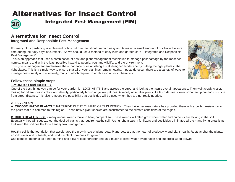## Alternatives for Insect Control



Integrated Pest Management (PIM) 26

### **Alternatives for Insect Control Integrated and Responsible Pest Management**

For many of us gardening is a pleasant hobby but one that should remain easy and takes up a small amount of our limited leisure time during the "lazy days of summer". So we should use a method of easy lawn and garden care - "Integrated and Responsible Pest Management".

This is an approach that uses a combination of pest and plant management techniques to manage pest damage by the most economical means and with the least possible hazard to people, pets and wildlife, and the environment.

This type of management emphasizes the importance of establishing a well designed landscape by putting the right plants in the right places. This is a simple way to ensure that all of your plantings remain healthy. If pests do occur, there are a variety of ways to manage pests safely and effectively, many of which require no application of toxic chemicals.



### **Follow these simple steps 1.MONITOR and IDENTIFY**

One of the best things you can do for your garden is - LOOK AT IT! Stand across the street and look at the lawn's overall appearance. Then walk slowly closer, looking for differences in colour and density, particularly brown or yellow patches. A variety of smaller plants like lawn daisies, clover or buttercup can look just fine from street distance.This also removes the possibility that pesticides will be used when they are not really needed.

#### **2.PREVENTION**

**A. CHOOSE NATIVE PLANTS** THAT THRIVE IN THE CLIMATE OF THIS REGION. They thrive because nature has provided them with a built-in resistance to the pests that are common to this region. These native plant species are accustomed to the climate conditions of the region.

**B. BUILD HEALTHY SOIL** - many annual weeds thrive in bare, compact soil.These weeds will often grow when water and nutrients are lacking in the soil. Eventually they will squeeze out the desired plants that require healthy soil. Using chemicals in fertilizers and pesticides eliminates all the many living organisms that keep the soil healthy for a healthy lawn and garden.

Healthy soil is the foundation that accelerates the growth rate of plant roots. Plant roots are at the heart of productivity and plant health. Roots anchor the plants, absorb water and nutrients, and produce plant hormones for growth.

Use compost material as a non-burning and slow release fertilizer and as a mulch to lower water evaporation and suppress weed growth.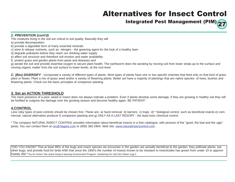## Alternatives for Insect Control

Integrated Pest Management (PIM) $\bigcirc$ 

#### **2. PREVENTION (cont'd)**

- The creatures living in the soil are critical to soil quality. Basically they will
- a) provide decomposition
- b) provide a digestible form of many essential minerals
- c) store & release nutrients, such as nitrogen the greening agent for the look of a healthy lawn
- d) degrade pollutants before they reach our drinking water supply
- e) affect soil structure and therefore soil erosion and water availability
- f) protect grass and garden plants from pests and diseases and

g) aerate the soil and provide essential oxygen to secure plant health. The earthworm does the aerating by moving soil from lower strata up to the surface and moving organic matter from the soil surface to lower levels, at the root level.

**C. (Bio) DIVERSIFY** - incorporate a variety of different types of plants. Most types of plants have one or two specific enemies that feed only on that kind of grass plant or flower. Plant a mix of grass seed and/or a variety of flowering plants. Better yet have a majority of plantings that are native species- of trees, bushes and flowering plants. Check out the basic principles of companion planting

### **3. Set an ACTION THRESHOLD**

The mere presence of a pest, weed or insect does not always indicate a problem. Even if plants develop some damage, if they are growing in healthy soil they will be fortified to outgrow the damage over the growing season and become healthy again. BE PATIENT!

#### **4.CONTROL**

Less risky types of pest controls should be chosen first. These are- a) hand removal b) barriers c) traps d) \* biological control, such as beneficial insects e) commercial, natural alternative products f) companion planting and g) ONLY AS A LAST RESORT - the least toxic chemical control.

\* The company NATURAL INSECT CONTROL provides information about beneficial insects in a free catalogue, with pictures of the "good, the bad and the ugly" pests. You can contact them at nic@niagara.com or (905) 382-2904. Web site: www.naturalinsectcontrol.com .

\*DID YOU KNOW? That at least 99% of the bugs and insect species we encounter in the garden are actually beneficial to the garden: they pollinate plants, eat other bugs, and provide food for birds AND that since the 1950's the number of insects known to be resistant to insecticides has grown from under 10 to approximately 450.\*"Go for Green"-the active living & learning Environment Program, Gardening for Life,Fact Sheet 3,pg-3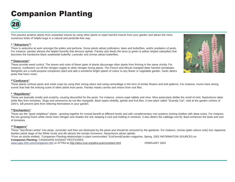## Companion Planting



This practice protects plants from unwanted insects by using other plants to repel harmful insects from your garden and attract the more numerous kinds of helpful bugs in a natural and pesticide-free way.

#### **\* "Attractors"\***

There is seduction at work amongst the pollen and perfume. Some plants attract pollinators, bees and butterflies, and/or predators of pests. For instance, parsley attracts the helpful hoverfly that devours aphids. Parsley also feeds the larva (a green & yellow striped caterpillar) that becomes the handsome black swallowtail butterfly. Lavender and zinnias attract butterflies.

#### **\*"Deterrents"**

These provide weed control. The leaves and roots of these types of plants discourage other plants from thriving in the same vicinity. For instance, sunflowers cut off the nitrogen supply to other nitrogen loving plants. The French and African marigold deter harmful nematodes. Marigolds are a multi-purpose companion plant and add a wonderful bright splash of colour to any flower or vegetable garden. Garlic deters pests that harm roses.

#### **\*"Confusers"**

These plants confuse pests and mask crops by using their strong odour and using camouflage in the form of similar flowers and leaf patterns. For instance, mums have strong scents that hide the enticing scent of other plants from pests. Parsley masks carrots and onions from root flies.

#### **\* "Repellents"**

These are basically smelly and scratchy, causing discomfort for the pests. For instance, onions repel rabbits and mice. Mice particularly dislike the smell of mint. Nasturtiums deter white flies from tomatoes. Slugs and wireworms do not like marigolds. Basil repels whitefly, aphids and fruit flies. A new plant called "Scaredy Cat", sold at the garden centres of Zehr's, will prevent pets from relieving themselves in your garden.

#### **\*"Enchanters"**

These are the "good neighbour" plants - growing together for mutual benefit at different levels and with complementary root systems (mixing shallow with deep roots). For instance, the low growing Dutch white clover fixes nitrogen and shades the soil, keeping it cool and holding in moisture. It also deters the cabbage root fly. Basil enhances the taste and size of tomatoes.

#### **\*"Trappers"**

These "Sacrificial Lambs" lure pests, surrender and then are destroyed by the pests and should be removed by the gardener. For instance, zinnias (pale colours only) lure Japanese beetles (adult stage of the White Grub) and dill attracts the tomato hornworm. Nasturtiums attract aphids.

\*From an article entitled, "Companion Planting:relationships in plant communities" EcoFarm&Garden magazine, Spring, 2002 INFORMATION SOURCES on **Companion Planting:** CANADIANS AGAINST PESTICIDES-

www.caps.20m.com/companion.htm or ATTRA at http://attra.ncat.org/attra-pub/complant.html FEBRUARY 2003

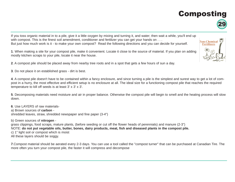## Composting



If you toss organic material in to a pile, give it a little oxygen by mixing and turning it, and water; then wait a while, you'll end up with compost. This is the finest soil amendment, conditioner and fertilizer you can get your hands on . . . But just how much work is it - to make your own compost? Read the following directions and you can decide for yourself.

**1**. When making a site for your compost pile, make it convenient. Locate it close to the source of material. If you plan on adding mostly kitchen scraps to your pile, locate it near the house.

**2**. A compost pile should be placed away from nearby tree roots and in a spot that gets a few hours of sun a day.

**3**. Do not place it on established grass - dirt is best.

**4**. A compost pile doesn't have to be contained within a fancy enclosure, and since turning a pile is the simplest and surest way to get a lot of compost in a hurry, the most effective and efficient setup is no enclosure at all. The ideal size for a functioning compost pile that reaches the required temperature to kill off seeds is at least 3' x 3' x 3'.

**5**. Decomposing materials need moisture and air in proper balance. Otherwise the compost pile will begin to smell and the heating process will slow down.

**6**. Use LAYERS of raw materialsa) Brown sources of **carbon** shredded leaves, straw, shredded newspaper and fine paper (3-4")

b) Green sources of **nitrogen** grass clippings, food scraps, mature plants, (before seeding or cut off the flower heads of perennials) and manure (2-3") NOTE: **do not put vegetable oils, butter, bones, dairy products, meat, fish and diseased plants in the compost pile.**  c) 1" light soil or compost which is moist All these layers should be soggy.

**7**.Compost material should be aerated every 2-3 days. You can use a tool called the "compost turner" that can be purchased at Canadian Tire. The more often you turn your compost pile, the faster it will compress and decompose

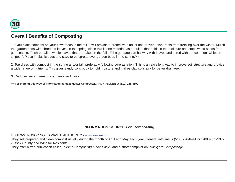

### **Overall Benefits of Composting**

**1**.If you place compost on your flowerbeds in the fall, it will provide a protective blanket and prevent plant roots from freezing over the winter. Mulch the garden beds with shredded leaves, in the spring, since this is one material, as a mulch, that holds in the moisture and stops weed seeds from germinating. To shred fallen whole leaves that are raked in the fall - Fill a garbage can halfway with leaves and shred with the common "whipper snipper". Place in plastic bags and save to be spread over garden beds in the spring.\*\*\*

**2**. Top dress with compost in the spring and/or fall, preferably following core aeration. This is an excellent way to improve soil structure and provide a wide range of nutrients. This gives sandy soils body to hold moisture and makes clay soils airy for better drainage.

**3**. Reduces water demands of plants and trees.

**\*\*\* For more of this type of information contact Master Composter, ANDY PEDDEN at (519) 728-4592**

### **INFORMATION SOURCES on Composting**

ESSEX-WINDSOR SOLID WASTE AUTHORITY - www.ewswa.org

They sell prepared and clean compost usually during the month of April and May each year. General info line is (519) 776-6441 or 1-800-563-3377 (Essex County and Windsor Residents).

They offer a free publication called, "Home Composting Made Easy", and a short pamphlet on "Backyard Composting".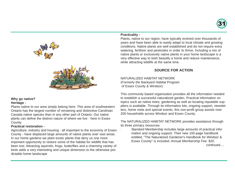



#### **Why go native? Heritage -**

Plants native to our area simply belong here. This area of southwestern Ontario has the largest number of remaining and distinctive Carolinian Canada native species than in any other part of Ontario. Our native plants can define the distinct nature of where we live - here in Essex County.

#### **Practical restoration -**

Agriculture, industry and housing - all important to the economy of Essex County - have displaced large amounts of native plants over vast areas. In our home gardens we plant exotic plants that deny us one more important opportunity to restore some of the habitat for wildlife that has been lost. Attracting squirrels, frogs, butterflies and a charming variety of birds adds a very interesting and unique dimension to the otherwise predictable home landscape

#### **Practicality -**

Plants, native to our region, have typically evolved over thousands of years and have been able to easily adapt to local climate and growing conditions. Native plants are well established and do not require extra watering, fertilizer and pesticides in order to thrive. Including a mix of native plants or exclusively native plants in your home landscape is a very effective way to both beautify a home and reduce maintenance, while attracting wildlife at the same time.

### **SOURCE FOR ACTION**

NATURALIZED HABITAT NETWORK (Formerly the Backyard Habitat Program of Essex County & Windsor)

This community based organization provides all the information needed to establish a successful naturalized garden. Practical information on topics such as native trees, gardening as well as locating reputable suppliers is available. Through its information kits, ongoing support, newsletters, home visits and special events, this non-profit group assists over 200 households across Windsor and Essex County.

The NATURALIZED HABITAT NETWORK provides assistance through its three primary resources:

Standard Membership includes large amounts of practical infor mation and ongoing support. Their new 100-page handbook entitled, "The Naturalized Gardener's Handbook for Windsor & Essex County" is included. Annual Membership Fee: \$20. continued....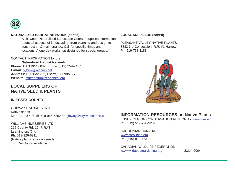

#### **NATURALIZED HABITAT NETWORK (cont'd)**

· A six-week "Naturalized Landscape Course" supplies information about all aspects of landscaping, from planning and design to construction & maintenance. Call for specific times and locations. A one-day workshop designed for special groups.

#### CONTACT INFORMATION for the

**Naturalized Habitat Network Phone:** DAN BISSONNETTE at (519) 259-2407 **E-mail:** byhew@wincom.net **Address**: P.O. Box 292, Essex, ON N8M 2Y3 **Website:** http://naturalizedhabitat.org

### **LOCAL SUPPLIERS OF NATIVE SEED & PLANTS**

#### **IN ESSEX COUNTY -**

OJIBWAY NATURE CENTRE Native seeds Mon-Fri, 10-4:30 @ 519-966-5852 or ojibway@city.windsor.on.ca

### WILLIAMS NURSERIES LTD.

315 County Rd. 12, R.R.#3 Leamington, Ont. Ph: 519-326-6911 (Native plants only - no seeds) Turf Revolution available

#### **LOCAL SUPPLIERS (cont'd)**

PLEASANT VALLEY NATIVE PLANTS 3883 3rd Concession, R.R. #1 Harrow Ph: 519-738-1188



### **INFORMATION RESOURCES on Native Plants**

ESSEX REGION CONSERVATION AUTHORITY - www.erca.org Ph: (519) 519-776-5209

#### CAROLINIAN CANADAwww.carolinian.org

Ph: (519) 873-4631

#### CANADIAN WILDLIFE FEDERATION www.wildaboutgardening.org JULY, 2004